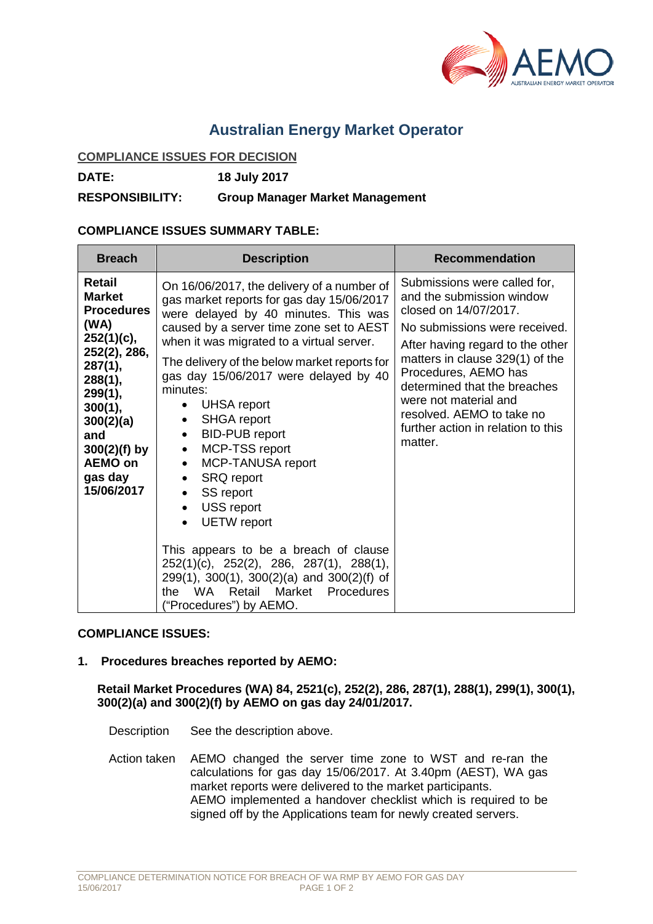

# **Australian Energy Market Operator**

#### **COMPLIANCE ISSUES FOR DECISION**

**DATE: 18 July 2017**

**RESPONSIBILITY: Group Manager Market Management**

## **COMPLIANCE ISSUES SUMMARY TABLE:**

| <b>Breach</b>                                                                                                                                                                                                   | <b>Description</b>                                                                                                                                                                                                                                                                                                                                                                                                                                                                                                                                                                                                                                                                                                                                                                                                                                 | <b>Recommendation</b>                                                                                                                                                                                                                                                                                                                                     |
|-----------------------------------------------------------------------------------------------------------------------------------------------------------------------------------------------------------------|----------------------------------------------------------------------------------------------------------------------------------------------------------------------------------------------------------------------------------------------------------------------------------------------------------------------------------------------------------------------------------------------------------------------------------------------------------------------------------------------------------------------------------------------------------------------------------------------------------------------------------------------------------------------------------------------------------------------------------------------------------------------------------------------------------------------------------------------------|-----------------------------------------------------------------------------------------------------------------------------------------------------------------------------------------------------------------------------------------------------------------------------------------------------------------------------------------------------------|
| Retail<br><b>Market</b><br><b>Procedures</b><br>(WA)<br>252(1)(c),<br>252(2), 286,<br>287(1),<br>288(1),<br>299(1),<br>300(1),<br>300(2)(a)<br>and<br>$300(2)(f)$ by<br><b>AEMO on</b><br>gas day<br>15/06/2017 | On 16/06/2017, the delivery of a number of<br>gas market reports for gas day 15/06/2017<br>were delayed by 40 minutes. This was<br>caused by a server time zone set to AEST<br>when it was migrated to a virtual server.<br>The delivery of the below market reports for<br>gas day 15/06/2017 were delayed by 40<br>minutes:<br><b>UHSA report</b><br>$\bullet$<br><b>SHGA</b> report<br>$\bullet$<br><b>BID-PUB report</b><br>$\bullet$<br>MCP-TSS report<br>$\bullet$<br>MCP-TANUSA report<br>$\bullet$<br><b>SRQ report</b><br>$\bullet$<br>SS report<br>$\bullet$<br><b>USS report</b><br>$\bullet$<br><b>UETW</b> report<br>This appears to be a breach of clause<br>252(1)(c), 252(2), 286, 287(1), 288(1),<br>299(1), 300(1), 300(2)(a) and 300(2)(f) of<br>WA.<br>Retail<br>Market<br>the<br><b>Procedures</b><br>("Procedures") by AEMO. | Submissions were called for,<br>and the submission window<br>closed on 14/07/2017.<br>No submissions were received.<br>After having regard to the other<br>matters in clause 329(1) of the<br>Procedures, AEMO has<br>determined that the breaches<br>were not material and<br>resolved. AEMO to take no<br>further action in relation to this<br>matter. |

### **COMPLIANCE ISSUES:**

### **1. Procedures breaches reported by AEMO:**

### **Retail Market Procedures (WA) 84, 2521(c), 252(2), 286, 287(1), 288(1), 299(1), 300(1), 300(2)(a) and 300(2)(f) by AEMO on gas day 24/01/2017.**

Description See the description above.

Action taken AEMO changed the server time zone to WST and re-ran the calculations for gas day 15/06/2017. At 3.40pm (AEST), WA gas market reports were delivered to the market participants. AEMO implemented a handover checklist which is required to be signed off by the Applications team for newly created servers.